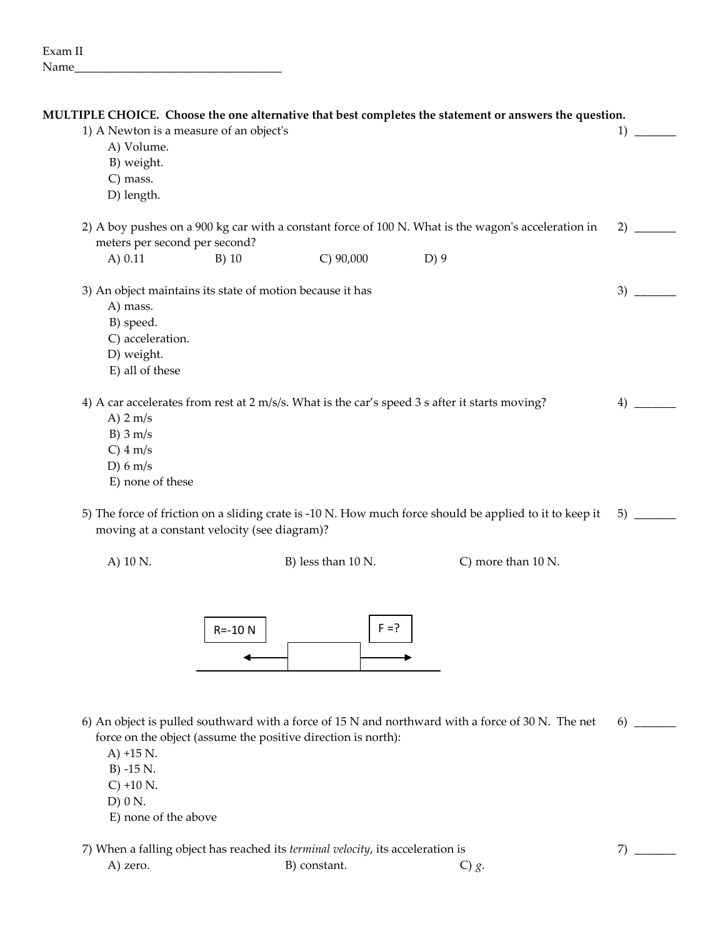| 1) A Newton is a measure of an object's<br>1)<br>A) Volume.<br>B) weight.<br>C) mass.<br>D) length.<br>2) A boy pushes on a 900 kg car with a constant force of 100 N. What is the wagon's acceleration in<br>2)<br>meters per second per second?<br>$C)$ 90,000<br>D)9<br>A $) 0.11$<br>$B)$ 10<br>3) An object maintains its state of motion because it has<br>3)<br>A) mass.<br>B) speed.<br>C) acceleration.<br>D) weight.<br>E) all of these<br>4) A car accelerates from rest at 2 m/s/s. What is the car's speed 3 s after it starts moving?<br>4)<br>A) $2 \text{ m/s}$<br>$B)$ 3 m/s<br>$C)$ 4 m/s<br>D) $6 \text{ m/s}$<br>E) none of these<br>5) The force of friction on a sliding crate is -10 N. How much force should be applied to it to keep it<br>5)<br>moving at a constant velocity (see diagram)?<br>B) less than 10 N.<br>C) more than 10 N.<br>A) 10 N. |  |  | MULTIPLE CHOICE. Choose the one alternative that best completes the statement or answers the question. |  |
|--------------------------------------------------------------------------------------------------------------------------------------------------------------------------------------------------------------------------------------------------------------------------------------------------------------------------------------------------------------------------------------------------------------------------------------------------------------------------------------------------------------------------------------------------------------------------------------------------------------------------------------------------------------------------------------------------------------------------------------------------------------------------------------------------------------------------------------------------------------------------------|--|--|--------------------------------------------------------------------------------------------------------|--|
|                                                                                                                                                                                                                                                                                                                                                                                                                                                                                                                                                                                                                                                                                                                                                                                                                                                                                |  |  |                                                                                                        |  |
|                                                                                                                                                                                                                                                                                                                                                                                                                                                                                                                                                                                                                                                                                                                                                                                                                                                                                |  |  |                                                                                                        |  |
|                                                                                                                                                                                                                                                                                                                                                                                                                                                                                                                                                                                                                                                                                                                                                                                                                                                                                |  |  |                                                                                                        |  |
|                                                                                                                                                                                                                                                                                                                                                                                                                                                                                                                                                                                                                                                                                                                                                                                                                                                                                |  |  |                                                                                                        |  |
|                                                                                                                                                                                                                                                                                                                                                                                                                                                                                                                                                                                                                                                                                                                                                                                                                                                                                |  |  |                                                                                                        |  |
|                                                                                                                                                                                                                                                                                                                                                                                                                                                                                                                                                                                                                                                                                                                                                                                                                                                                                |  |  |                                                                                                        |  |
|                                                                                                                                                                                                                                                                                                                                                                                                                                                                                                                                                                                                                                                                                                                                                                                                                                                                                |  |  |                                                                                                        |  |
|                                                                                                                                                                                                                                                                                                                                                                                                                                                                                                                                                                                                                                                                                                                                                                                                                                                                                |  |  |                                                                                                        |  |
|                                                                                                                                                                                                                                                                                                                                                                                                                                                                                                                                                                                                                                                                                                                                                                                                                                                                                |  |  |                                                                                                        |  |
|                                                                                                                                                                                                                                                                                                                                                                                                                                                                                                                                                                                                                                                                                                                                                                                                                                                                                |  |  |                                                                                                        |  |
|                                                                                                                                                                                                                                                                                                                                                                                                                                                                                                                                                                                                                                                                                                                                                                                                                                                                                |  |  |                                                                                                        |  |
|                                                                                                                                                                                                                                                                                                                                                                                                                                                                                                                                                                                                                                                                                                                                                                                                                                                                                |  |  |                                                                                                        |  |
|                                                                                                                                                                                                                                                                                                                                                                                                                                                                                                                                                                                                                                                                                                                                                                                                                                                                                |  |  |                                                                                                        |  |
|                                                                                                                                                                                                                                                                                                                                                                                                                                                                                                                                                                                                                                                                                                                                                                                                                                                                                |  |  |                                                                                                        |  |
|                                                                                                                                                                                                                                                                                                                                                                                                                                                                                                                                                                                                                                                                                                                                                                                                                                                                                |  |  |                                                                                                        |  |
|                                                                                                                                                                                                                                                                                                                                                                                                                                                                                                                                                                                                                                                                                                                                                                                                                                                                                |  |  |                                                                                                        |  |
|                                                                                                                                                                                                                                                                                                                                                                                                                                                                                                                                                                                                                                                                                                                                                                                                                                                                                |  |  |                                                                                                        |  |
|                                                                                                                                                                                                                                                                                                                                                                                                                                                                                                                                                                                                                                                                                                                                                                                                                                                                                |  |  |                                                                                                        |  |
|                                                                                                                                                                                                                                                                                                                                                                                                                                                                                                                                                                                                                                                                                                                                                                                                                                                                                |  |  |                                                                                                        |  |
|                                                                                                                                                                                                                                                                                                                                                                                                                                                                                                                                                                                                                                                                                                                                                                                                                                                                                |  |  |                                                                                                        |  |
|                                                                                                                                                                                                                                                                                                                                                                                                                                                                                                                                                                                                                                                                                                                                                                                                                                                                                |  |  |                                                                                                        |  |



- 6) An object is pulled southward with a force of 15 N and northward with a force of 30 N. The net force on the object (assume the positive direction is north): 6) \_\_\_\_\_\_\_
	- A) +15 N.
	- B) -15 N.
	- C) +10 N.
	- D) 0 N.
	- E) none of the above

7) When a falling object has reached its *terminal velocity*, its acceleration is <sup>7</sup> <sup>7</sup>

A) zero. B) constant. C) *g*.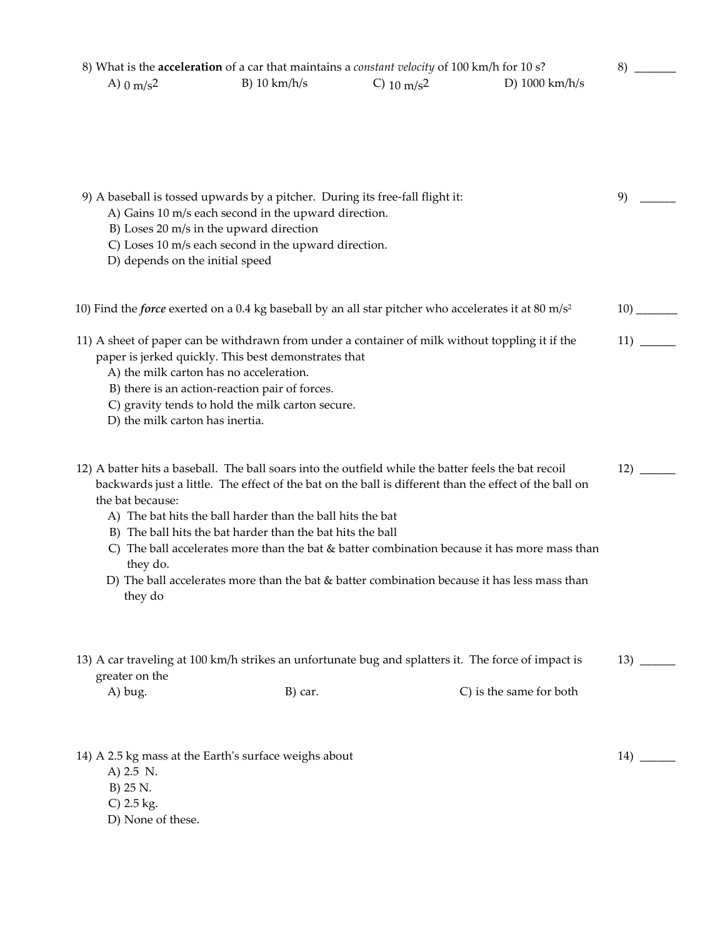| 9) A baseball is tossed upwards by a pitcher. During its free-fall flight it:<br>9)<br>A) Gains 10 m/s each second in the upward direction.<br>B) Loses 20 m/s in the upward direction<br>C) Loses 10 m/s each second in the upward direction.<br>D) depends on the initial speed<br>paper is jerked quickly. This best demonstrates that<br>A) the milk carton has no acceleration.<br>B) there is an action-reaction pair of forces.<br>C) gravity tends to hold the milk carton secure.<br>D) the milk carton has inertia.<br>12)<br>backwards just a little. The effect of the bat on the ball is different than the effect of the ball on<br>the bat because:<br>A) The bat hits the ball harder than the ball hits the bat<br>B) The ball hits the bat harder than the bat hits the ball<br>C) The ball accelerates more than the bat & batter combination because it has more mass than<br>they do.<br>D) The ball accelerates more than the bat $\&$ batter combination because it has less mass than<br>they do<br>greater on the<br>C) is the same for both<br>A) bug.<br>B) car. | A) $0 \text{ m/s}^2$ | 8) What is the acceleration of a car that maintains a constant velocity of 100 km/h for 10 s?<br>$B)$ 10 km/h/s | C) $10 \text{ m/s}^2$ | D) $1000 \text{ km/h/s}$ | 8)  |
|---------------------------------------------------------------------------------------------------------------------------------------------------------------------------------------------------------------------------------------------------------------------------------------------------------------------------------------------------------------------------------------------------------------------------------------------------------------------------------------------------------------------------------------------------------------------------------------------------------------------------------------------------------------------------------------------------------------------------------------------------------------------------------------------------------------------------------------------------------------------------------------------------------------------------------------------------------------------------------------------------------------------------------------------------------------------------------------------|----------------------|-----------------------------------------------------------------------------------------------------------------|-----------------------|--------------------------|-----|
| 11) A sheet of paper can be withdrawn from under a container of milk without toppling it if the<br>12) A batter hits a baseball. The ball soars into the outfield while the batter feels the bat recoil<br>13) A car traveling at 100 km/h strikes an unfortunate bug and splatters it. The force of impact is                                                                                                                                                                                                                                                                                                                                                                                                                                                                                                                                                                                                                                                                                                                                                                              |                      |                                                                                                                 |                       |                          |     |
| 10) Find the <i>force</i> exerted on a 0.4 kg baseball by an all star pitcher who accelerates it at 80 m/s <sup>2</sup>                                                                                                                                                                                                                                                                                                                                                                                                                                                                                                                                                                                                                                                                                                                                                                                                                                                                                                                                                                     |                      |                                                                                                                 |                       |                          |     |
|                                                                                                                                                                                                                                                                                                                                                                                                                                                                                                                                                                                                                                                                                                                                                                                                                                                                                                                                                                                                                                                                                             |                      |                                                                                                                 |                       |                          |     |
|                                                                                                                                                                                                                                                                                                                                                                                                                                                                                                                                                                                                                                                                                                                                                                                                                                                                                                                                                                                                                                                                                             |                      |                                                                                                                 |                       |                          | 11) |
|                                                                                                                                                                                                                                                                                                                                                                                                                                                                                                                                                                                                                                                                                                                                                                                                                                                                                                                                                                                                                                                                                             |                      |                                                                                                                 |                       |                          |     |
|                                                                                                                                                                                                                                                                                                                                                                                                                                                                                                                                                                                                                                                                                                                                                                                                                                                                                                                                                                                                                                                                                             |                      |                                                                                                                 |                       |                          |     |
|                                                                                                                                                                                                                                                                                                                                                                                                                                                                                                                                                                                                                                                                                                                                                                                                                                                                                                                                                                                                                                                                                             |                      |                                                                                                                 |                       |                          |     |
|                                                                                                                                                                                                                                                                                                                                                                                                                                                                                                                                                                                                                                                                                                                                                                                                                                                                                                                                                                                                                                                                                             |                      |                                                                                                                 |                       |                          |     |

A) 2.5 N.

B) 25 N.

C) 2.5 kg.

D) None of these.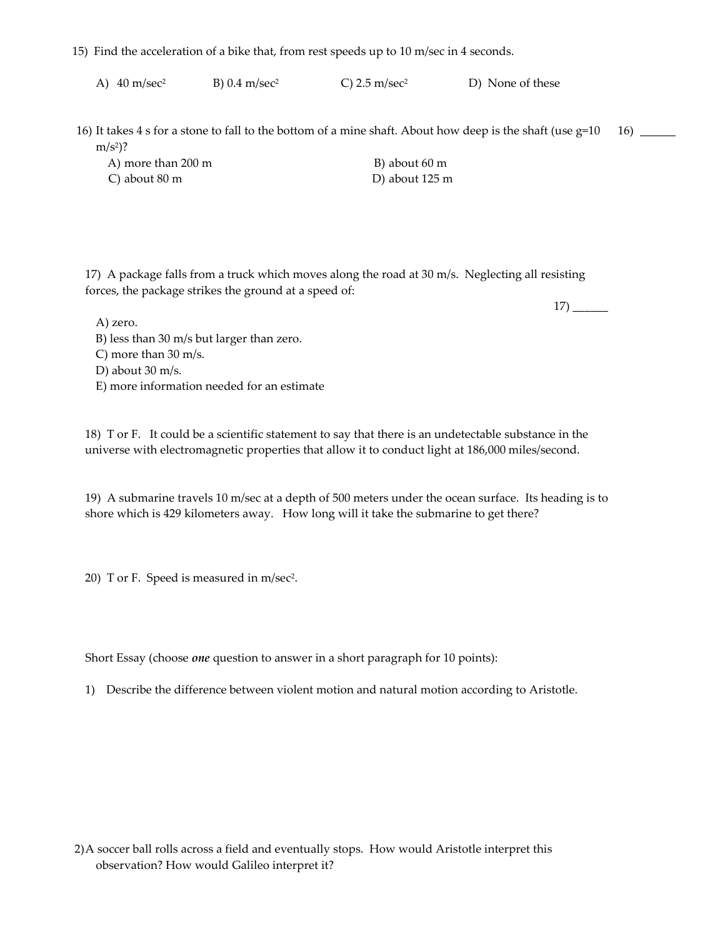- 15) Find the acceleration of a bike that, from rest speeds up to 10 m/sec in 4 seconds.
	- A)  $40 \text{ m/sec}^2$  B)  $0.4 \text{ m/sec}^2$  C)  $2.5 \text{ m/sec}^2$  D) None of these
- 16) It takes 4 s for a stone to fall to the bottom of a mine shaft. About how deep is the shaft (use g=10  $m/s^2$ ? 16) \_\_\_\_\_\_

| A) more than 200 m | B) about 60 m  |
|--------------------|----------------|
| C) about 80 m      | D) about 125 m |

17) A package falls from a truck which moves along the road at 30 m/s. Neglecting all resisting forces, the package strikes the ground at a speed of:

A) zero.

17) \_\_\_\_\_\_

B) less than 30 m/s but larger than zero. C) more than 30 m/s. D) about 30 m/s. E) more information needed for an estimate

18) T or F. It could be a scientific statement to say that there is an undetectable substance in the universe with electromagnetic properties that allow it to conduct light at 186,000 miles/second.

19) A submarine travels 10 m/sec at a depth of 500 meters under the ocean surface. Its heading is to shore which is 429 kilometers away. How long will it take the submarine to get there?

20) T or F. Speed is measured in m/sec2.

Short Essay (choose *one* question to answer in a short paragraph for 10 points):

1) Describe the difference between violent motion and natural motion according to Aristotle.

2)A soccer ball rolls across a field and eventually stops. How would Aristotle interpret this observation? How would Galileo interpret it?